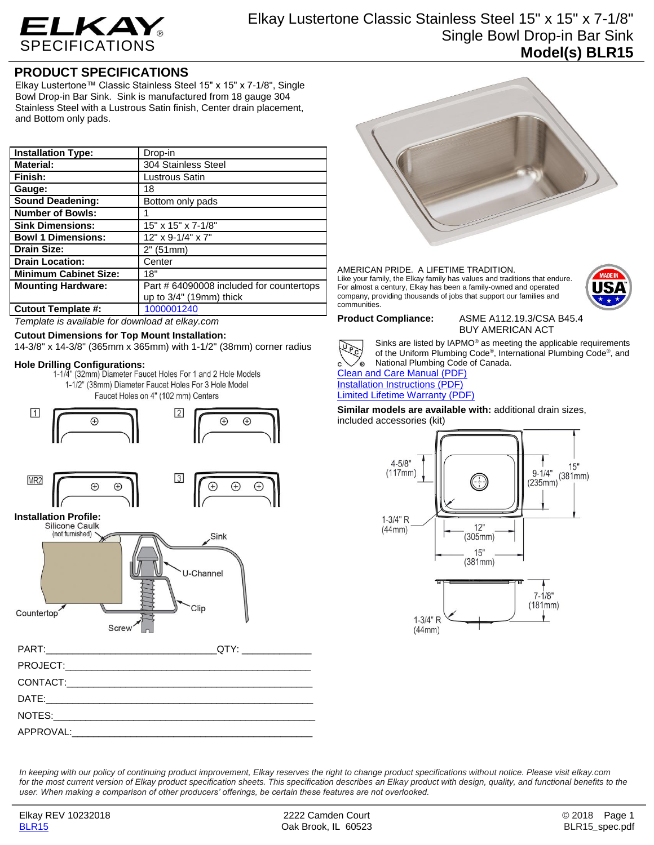

Elkay Lustertone Classic Stainless Steel 15" x 15" x 7-1/8" Single Bowl Drop-in Bar Sink **Model(s) BLR15**

## **PRODUCT SPECIFICATIONS**

Elkay Lustertone™ Classic Stainless Steel 15" x 15" x 7-1/8", Single Bowl Drop-in Bar Sink. Sink is manufactured from 18 gauge 304 Stainless Steel with a Lustrous Satin finish, Center drain placement, and Bottom only pads.

| <b>Installation Type:</b>    | Drop-in                                 |
|------------------------------|-----------------------------------------|
| <b>Material:</b>             | 304 Stainless Steel                     |
| Finish:                      | Lustrous Satin                          |
| Gauge:                       | 18                                      |
| <b>Sound Deadening:</b>      | Bottom only pads                        |
| <b>Number of Bowls:</b>      |                                         |
| <b>Sink Dimensions:</b>      | 15" x 15" x 7-1/8"                      |
| <b>Bowl 1 Dimensions:</b>    | 12" x 9-1/4" x 7"                       |
| <b>Drain Size:</b>           | 2" (51mm)                               |
| <b>Drain Location:</b>       | Center                                  |
| <b>Minimum Cabinet Size:</b> | 18"                                     |
| <b>Mounting Hardware:</b>    | Part #64090008 included for countertops |
|                              | up to 3/4" (19mm) thick                 |
| <b>Cutout Template #:</b>    | 1000001240                              |

*Template is available for download at elkay.com*

## **Cutout Dimensions for Top Mount Installation:**

14-3/8" x 14-3/8" (365mm x 365mm) with 1-1/2" (38mm) corner radius

**Hole Drilling Configurations:** 1-1/2" (38mm) Diameter Faucet Holes For 3 Hole Model

Faucet Holes on 4" (102 mm) Centers









### AMERICAN PRIDE. A LIFETIME TRADITION. Like your family, the Elkay family has values and traditions that endure. For almost a century, Elkay has been a family-owned and operated company, providing thousands of jobs that support our families and communities.



**Product Compliance:** ASME A112.19.3/CSA B45.4 BUY AMERICAN ACT



Sinks are listed by IAPMO® as meeting the applicable requirements of the Uniform Plumbing Code® , International Plumbing Code® , and National Plumbing Code of Canada.

[Clean and Care Manual \(PDF\)](http://www.elkay.com/wcsstore/lkdocs/care-cleaning-install-warranty-sheets/residential%20and%20commercial%20care%20%20cleaning.pdf) [Installation Instructions \(PDF\)](http://www.elkay.com/wcsstore/lkdocs/care-cleaning-install-warranty-sheets/74180147.pdf) [Limited Lifetime Warranty](http://www.elkay.com/wcsstore/lkdocs/care-cleaning-install-warranty-sheets/residential%20sinks%20warranty.pdf) (PDF)

**Similar models are available with:** additional drain sizes, included accessories (kit)



*In keeping with our policy of continuing product improvement, Elkay reserves the right to change product specifications without notice. Please visit elkay.com*  for the most current version of Elkay product specification sheets. This specification describes an Elkay product with design, quality, and functional benefits to the *user. When making a comparison of other producers' offerings, be certain these features are not overlooked.*